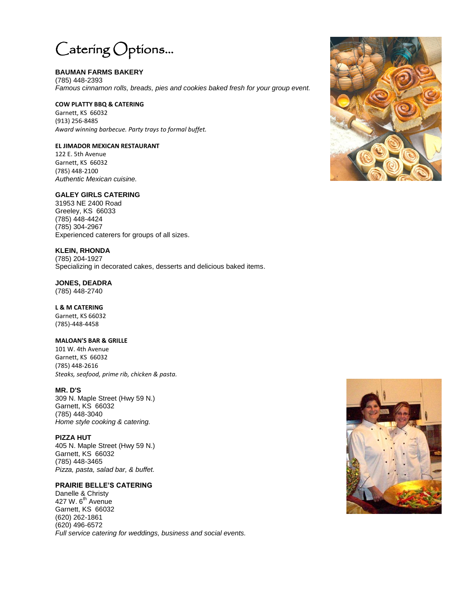

# **BAUMAN FARMS BAKERY**

(785) 448-2393 *Famous cinnamon rolls, breads, pies and cookies baked fresh for your group event.*

#### **COW PLATTY BBQ & CATERING**

Garnett, KS 66032 (913) 256-8485 *Award winning barbecue. Party trays to formal buffet.*

## **EL JIMADOR MEXICAN RESTAURANT**

122 E. 5th Avenue Garnett, KS 66032 (785) 448-2100 *Authentic Mexican cuisine.*

# **GALEY GIRLS CATERING**

31953 NE 2400 Road Greeley, KS 66033 (785) 448-4424 (785) 304-2967 Experienced caterers for groups of all sizes.

#### **KLEIN, RHONDA**

(785) 204-1927 Specializing in decorated cakes, desserts and delicious baked items.

## **JONES, DEADRA**

(785) 448-2740

#### **L & M CATERING**

Garnett, KS 66032 (785)-448-4458

#### **MALOAN'S BAR & GRILLE**

101 W. 4th Avenue Garnett, KS 66032 (785) 448-2616 *Steaks, seafood, prime rib, chicken & pasta.*

## **MR. D'S**

309 N. Maple Street (Hwy 59 N.) Garnett, KS 66032 (785) 448-3040 *Home style cooking & catering.*

## **PIZZA HUT**

405 N. Maple Street (Hwy 59 N.) Garnett, KS 66032 (785) 448-3465 *Pizza, pasta, salad bar, & buffet.*

## **PRAIRIE BELLE'S CATERING**

Danelle & Christy 427 W. 6<sup>th</sup> Avenue Garnett, KS 66032 (620) 262-1861 (620) 496-6572 *Full service catering for weddings, business and social events.*